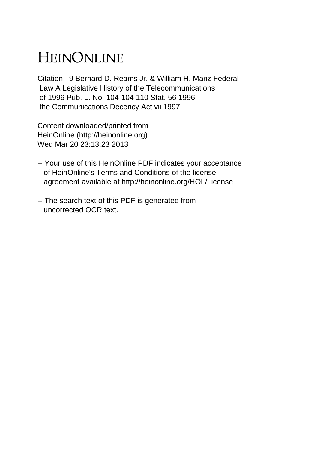# HEINONLINE

Citation: 9 Bernard D. Reams Jr. & William H. Manz Federal Law A Legislative History of the Telecommunications of 1996 Pub. L. No. 104-104 110 Stat. 56 1996 the Communications Decency Act vii 1997

Content downloaded/printed from HeinOnline (http://heinonline.org) Wed Mar 20 23:13:23 2013

- -- Your use of this HeinOnline PDF indicates your acceptance of HeinOnline's Terms and Conditions of the license agreement available at http://heinonline.org/HOL/License
- -- The search text of this PDF is generated from uncorrected OCR text.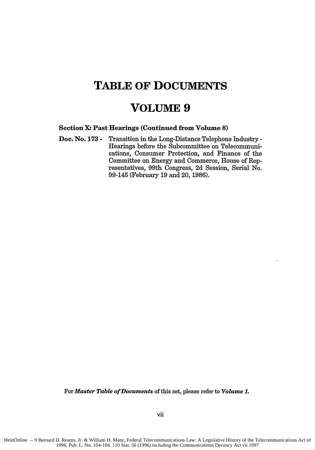### **TABLE OF DOCUMENTS**

#### **VOLUME 9**

#### Section **X. Past Hearings (Continued from Volume 8)**

**Doc. No. 173 -** Transition in the Long-Distance Telephone Industry - Hearings before the Subcommittee on Telecommunications, Consumer Protection, and Finance of the Committee on Energy and Commerce, House of Representatives, 99th Congress, **2d** Session, Serial No. 99-145 (February **19** and 20, **1986).**

*For Master Table of Documents* of this set, please refer **to** *Volume 1.*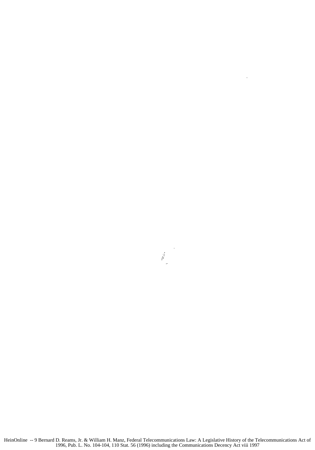HeinOnline -- 9 Bernard D. Reams, Jr. & William H. Manz, Federal Telecommunications Law: A Legislative History of the Telecommunications Act of 1996, Pub. L. No. 104-104, 110 Stat. 56 (1996) including the Communications Decency Act viii 1997

*//*

 $\bar{ }$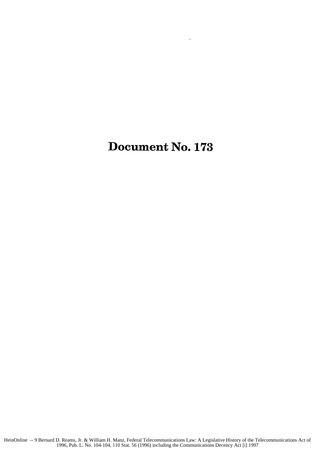## Document No. **173**